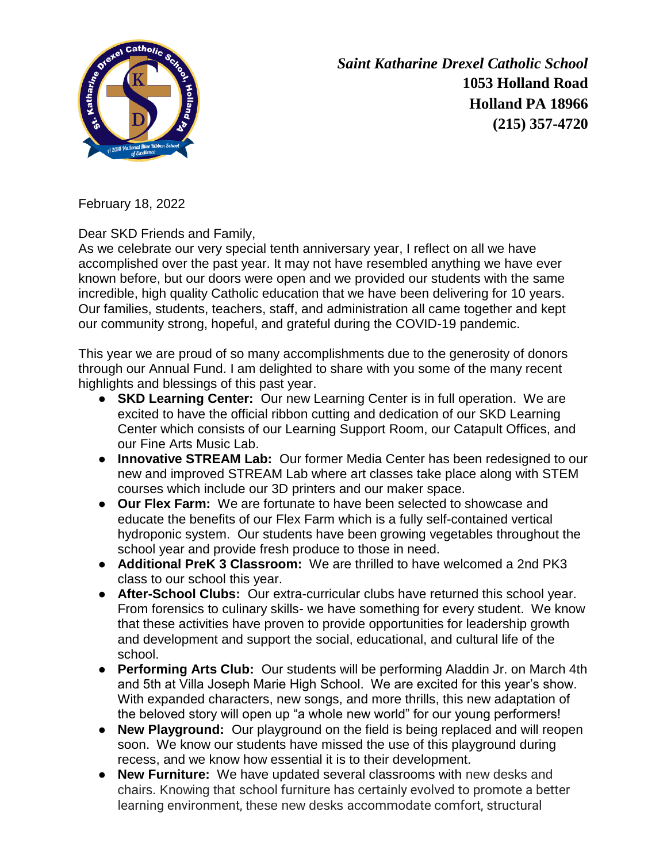

*Saint Katharine Drexel Catholic School* **1053 Holland Road Holland PA 18966 (215) 357-4720**

February 18, 2022

Dear SKD Friends and Family,

As we celebrate our very special tenth anniversary year, I reflect on all we have accomplished over the past year. It may not have resembled anything we have ever known before, but our doors were open and we provided our students with the same incredible, high quality Catholic education that we have been delivering for 10 years. Our families, students, teachers, staff, and administration all came together and kept our community strong, hopeful, and grateful during the COVID-19 pandemic.

This year we are proud of so many accomplishments due to the generosity of donors through our Annual Fund. I am delighted to share with you some of the many recent highlights and blessings of this past year.

- **SKD Learning Center:** Our new Learning Center is in full operation. We are excited to have the official ribbon cutting and dedication of our SKD Learning Center which consists of our Learning Support Room, our Catapult Offices, and our Fine Arts Music Lab.
- **Innovative STREAM Lab:** Our former Media Center has been redesigned to our new and improved STREAM Lab where art classes take place along with STEM courses which include our 3D printers and our maker space.
- **Our Flex Farm:** We are fortunate to have been selected to showcase and educate the benefits of our Flex Farm which is a fully self-contained vertical hydroponic system. Our students have been growing vegetables throughout the school year and provide fresh produce to those in need.
- **Additional PreK 3 Classroom:** We are thrilled to have welcomed a 2nd PK3 class to our school this year.
- **After-School Clubs:** Our extra-curricular clubs have returned this school year. From forensics to culinary skills- we have something for every student. We know that these activities have proven to provide opportunities for leadership growth and development and support the social, educational, and cultural life of the school.
- **Performing Arts Club:** Our students will be performing Aladdin Jr. on March 4th and 5th at Villa Joseph Marie High School. We are excited for this year's show. With expanded characters, new songs, and more thrills, this new adaptation of the beloved story will open up "a whole new world" for our young performers!
- **New Playground:** Our playground on the field is being replaced and will reopen soon. We know our students have missed the use of this playground during recess, and we know how essential it is to their development.
- **New Furniture:** We have updated several classrooms with new desks and chairs. Knowing that school furniture has certainly evolved to promote a better learning environment, these new desks accommodate comfort, structural